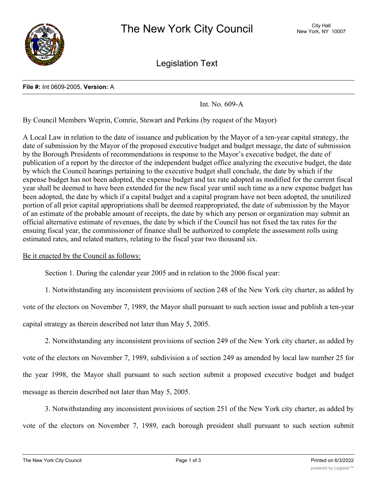

Legislation Text

## **File #:** Int 0609-2005, **Version:** A

Int. No. 609-A

By Council Members Weprin, Comrie, Stewart and Perkins (by request of the Mayor)

A Local Law in relation to the date of issuance and publication by the Mayor of a ten-year capital strategy, the date of submission by the Mayor of the proposed executive budget and budget message, the date of submission by the Borough Presidents of recommendations in response to the Mayor's executive budget, the date of publication of a report by the director of the independent budget office analyzing the executive budget, the date by which the Council hearings pertaining to the executive budget shall conclude, the date by which if the expense budget has not been adopted, the expense budget and tax rate adopted as modified for the current fiscal year shall be deemed to have been extended for the new fiscal year until such time as a new expense budget has been adopted, the date by which if a capital budget and a capital program have not been adopted, the unutilized portion of all prior capital appropriations shall be deemed reappropriated, the date of submission by the Mayor of an estimate of the probable amount of receipts, the date by which any person or organization may submit an official alternative estimate of revenues, the date by which if the Council has not fixed the tax rates for the ensuing fiscal year, the commissioner of finance shall be authorized to complete the assessment rolls using estimated rates, and related matters, relating to the fiscal year two thousand six.

## Be it enacted by the Council as follows:

Section 1. During the calendar year 2005 and in relation to the 2006 fiscal year:

1. Notwithstanding any inconsistent provisions of section 248 of the New York city charter, as added by

vote of the electors on November 7, 1989, the Mayor shall pursuant to such section issue and publish a ten-year

capital strategy as therein described not later than May 5, 2005.

2. Notwithstanding any inconsistent provisions of section 249 of the New York city charter, as added by vote of the electors on November 7, 1989, subdivision a of section 249 as amended by local law number 25 for the year 1998, the Mayor shall pursuant to such section submit a proposed executive budget and budget message as therein described not later than May 5, 2005.

3. Notwithstanding any inconsistent provisions of section 251 of the New York city charter, as added by vote of the electors on November 7, 1989, each borough president shall pursuant to such section submit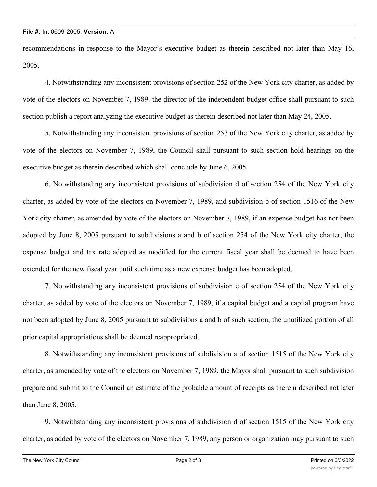recommendations in response to the Mayor's executive budget as therein described not later than May 16, 2005.

4. Notwithstanding any inconsistent provisions of section 252 of the New York city charter, as added by vote of the electors on November 7, 1989, the director of the independent budget office shall pursuant to such section publish a report analyzing the executive budget as therein described not later than May 24, 2005.

5. Notwithstanding any inconsistent provisions of section 253 of the New York city charter, as added by vote of the electors on November 7, 1989, the Council shall pursuant to such section hold hearings on the executive budget as therein described which shall conclude by June 6, 2005.

6. Notwithstanding any inconsistent provisions of subdivision d of section 254 of the New York city charter, as added by vote of the electors on November 7, 1989, and subdivision b of section 1516 of the New York city charter, as amended by vote of the electors on November 7, 1989, if an expense budget has not been adopted by June 8, 2005 pursuant to subdivisions a and b of section 254 of the New York city charter, the expense budget and tax rate adopted as modified for the current fiscal year shall be deemed to have been extended for the new fiscal year until such time as a new expense budget has been adopted.

7. Notwithstanding any inconsistent provisions of subdivision e of section 254 of the New York city charter, as added by vote of the electors on November 7, 1989, if a capital budget and a capital program have not been adopted by June 8, 2005 pursuant to subdivisions a and b of such section, the unutilized portion of all prior capital appropriations shall be deemed reappropriated.

8. Notwithstanding any inconsistent provisions of subdivision a of section 1515 of the New York city charter, as amended by vote of the electors on November 7, 1989, the Mayor shall pursuant to such subdivision prepare and submit to the Council an estimate of the probable amount of receipts as therein described not later than June 8, 2005.

9. Notwithstanding any inconsistent provisions of subdivision d of section 1515 of the New York city charter, as added by vote of the electors on November 7, 1989, any person or organization may pursuant to such